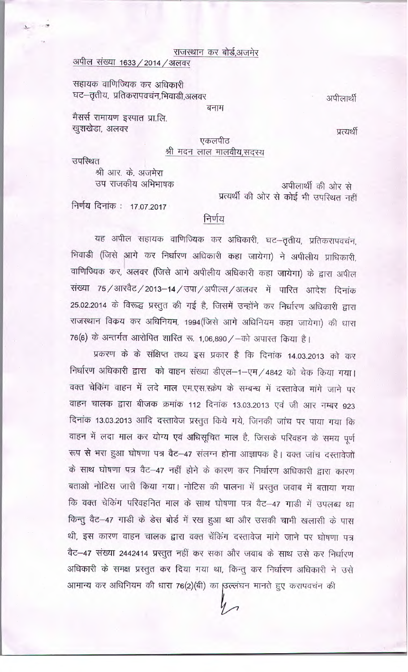#### राजस्थान कर बोर्ड,अजमेर

# अपील संख्या 1633 / 2014 / अलवर

सहायक वाणिज्यिक कर अधिकारी घट–तृतीय, प्रतिकरापवचंन,भिवाडी,अलवर

अपीलार्थी

मैसर्स रामायण इस्पात प्रा.लि. खुशखेडा, अलवर

प्रत्यर्थी

### एकलपीठ श्री मदन लाल मालवीय,सदस्य

बनाम

उपस्थित

श्री आर. के. अजमेरा उप राजकीय अभिभाषक

अपीलार्थी की ओर से प्रत्यर्थी की ओर से कोई भी उपस्थित नहीं

निर्णय दिनांक: 17.07.2017

निर्णय

यह अपील सहायक वाणिज्यिक कर अधिकारी, घट-तृतीय, प्रतिकरापवचंन, भिवाडी (जिसे आगे कर निर्धारण अधिकारी कहा जायेगा) ने अपीलीय प्राधिकारी, वाणिज्यिक कर, अलवर (जिसे आगे अपीलीय अधिकारी कहा जायेगा) के द्वारा अपील संख्या 75 / आरवैट / 2013-14 / उपा / अपील्स / अलवर में पारित आदेश दिनांक 25.02.2014 के विरूद्ध प्रस्तुत की गई है, जिसमें उन्होंने कर निर्धारण अधिकारी द्वारा राजस्थान विकय कर अधिनियम, 1994(जिसे आगे अधिनियम कहा जायेगा) की धारा 76(6) के अन्तर्गत आरोपित शास्ति रू. 1,06,890 / -को अपास्त किया है।

प्रकरण के के संक्षिप्त तथ्य इस प्रकार है कि दिनांक 14.03.2013 को कर निर्धारण अधिकारी द्वारा को वाहन संख्या डीएल-1-एम/4842 को चेक किया गया। वक्त चेकिंग वाहन में लदे माल एम.एस.स्क्रेप के सम्बन्ध में दस्तावेज मांगे जाने पर वाहन चालक द्वारा बीजक क्रमांक 112 दिनांक 13.03.2013 एवं जी आर नम्बर 923 दिनांक 13.03.2013 आदि दस्तावेज प्रस्तुत किये गये, जिनकी जांच पर पाया गया कि वाहन में लदा माल कर योग्य एवं अधिसूचित माल है, जिसके परिवहन के समय पूर्ण रूप से भरा हुआ घोषणा पत्र वैट-47 संलग्न होना आज्ञापक है। वक्त जांच दस्तावेजों के साथ घोषणा पत्र वैट-47 नहीं होने के कारण कर निर्धारण अधिकारी द्वारा कारण बताओ नोटिस जारी किया गया। नोटिस की पालना में प्रस्तुत जवाब में बताया गया कि वक्त चेकिंग परिवहनित माल के साथ घोषणा पत्र वैट-47 गाडी में उपलब्ध था किन्तु वैट-47 गाडी के डेस बोर्ड में रख हुआ था और उसकी चाभी खलासी के पास थी, इस कारण वाहन चालक द्वारा वक्त चेंकिंग दस्तावेज मांगे जाने पर घोषणा पत्र वैट–47 संख्या 2442414 प्रस्तुत नहीं कर सका और जवाब के साथ उसे कर निर्धारण अधिकारी के समक्ष प्रस्तुत कर दिया गया था, किन्तु कर निर्धारण अधिकारी ने उसे आमान्य कर अधिनियम की धारा 76(2)(बी) का ठिल्लंघन मानते हुए करापवचंन की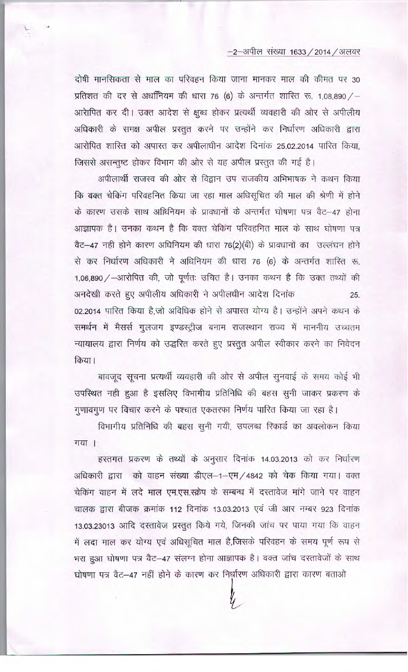## -2-अपील संख्या 1633 / 2014 / अलवर

दोषी मानसिकता से माल का परिवहन किया जाना मानकर माल की कीमत पर 30 प्रतिशत की दर से अधनियम की धारा 76 (6) के अन्तर्गत शारित रू. 1,08,890 / -आरेापित कर दी। उक्त आदेश से क्षुब्ध होकर प्रत्यर्थी व्यवहारी की ओर से अपीलीय अधिकारी के समक्ष अपील प्रस्तुत करने पर उन्होंने कर निर्धारण अधिकारी द्वारा आरोपित शास्ति को अपास्त कर अपीलाधीन आदेश दिनांक 25.02.2014 पारित किया. जिससे असन्तुष्ट होकर विभाग की ओर से यह अपील प्रस्तुत की गई है।

अपीलार्थी राजस्व की ओर से विद्वान उप राजकीय अभिभाषक ने कथन किया कि वक्त चेकिंग परिवहनित किया जा रहा माल अधिसूचित की माल की श्रेणी में होने के कारण उसके साथ अधिनियम के प्रावधानों के अन्तर्गत घोषणा पत्र वैट–47 होना आज्ञापक है। उनका कथन है कि वक्त चेकिंग परिवहनित माल के साथ घोषणा पत्र वैट-47 नही होने कारण अधिनियम की धारा 76(2)(बी) के प्रावधानों का उल्लंघन होने से कर निर्धारण अधिकारी ने अधिनियम की धारा 76 (6) के अन्तर्गत शास्ति रू. 1,06,890 / -आरोपित की, जो पूर्णतः उचित है। उनका कथन है कि उक्त तथ्यों की अनदेखी करते हुए अपीलीय अधिकारी ने अपीलधीन आदेश दिनांक 25. 02.2014 पारित किया है,जो अविधिक होने से अपास्त योग्य है। उन्होंने अपने कथन के समर्थन में मैसर्स गुलजग इण्डस्ट्रीज बनाम राजस्थान राज्य में माननीय उच्चतम न्यायालय द्वारा निर्णय को उद्धरित करते हुए प्रस्तुत अपील स्वीकार करने का निवेदन किया।

बावजूद सूचना प्रत्यर्थी व्यवहारी की ओर से अपील सूनवाई के समय कोई भी उपस्थित नही हुआ है इसलिए विभागीय प्रतिनिधि की बहस सुनी जाकर प्रकरण के गुणावगुण पर विचार करने के पश्चात एकतरफा निर्णय पारित किया जा रहा है।

विभागीय प्रतिनिधि की बहस सुनी गयी, उपलब्ध रिकार्ड का अवलोकन किया गया ।

हस्तगत प्रकरण के तथ्यों के अनुसार दिनांक 14.03.2013 को कर निर्धारण अधिकारी द्वारा को वाहन संख्या डीएल-1-एम/4842 को चेक किया गया। वक्त चेकिंग वाहन में लदे माल एम.एस.स्क्रेप के सम्बन्ध में दस्तावेज मांगे जाने पर वाहन चालक द्वारा बीजक क्रमांक 112 दिनांक 13.03.2013 एवं जी आर नम्बर 923 दिनांक 13.03.23013 आदि दस्तावेज प्रस्तुत किये गये, जिनकी जांच पर पाया गया कि वाहन में लदा माल कर योग्य एवं अधिसूचित माल है,जिसके परिवहन के समय पूर्ण रूप से भरा हुआ घोषणा पत्र वैट-47 संलग्न होना आज्ञापक है। वक्त जांच दस्तावेजों के साथ घोषणा पत्र वैट-47 नहीं होने के कारण कर निर्धारण अधिकारी द्वारा कारण बताओ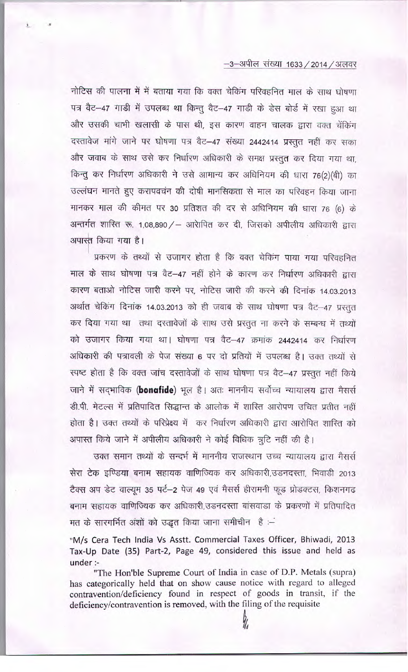### $-3$ –अपील संख्या 1633 / 2014 / अलवर

नोटिस की पालना में में बताया गया कि वक्त चेकिंग परिवहनित माल के साथ घोषणा पत्र वैट-47 गाडी में उपलब्ध था किन्तु वैट-47 गाडी के डेस बोर्ड में रखा हुआ था और उसकी चाभी खलासी के पास थी, इस कारण वाहन चालक द्वारा वक्त चेंकिंग दस्तावेज मांगे जाने पर घोषणा पत्र वैट-47 संख्या 2442414 प्रस्तुत नहीं कर सका और जवाब के साथ उसे कर निर्धारण अधिकारी के समक्ष प्रस्तुत कर दिया गया था, किन्तु कर निर्धारण अधिकारी ने उसे आमान्य कर अधिनियम की धारा 76(2)(बी) का उल्लंघन मानते हुए करापवचंन की दोषी मानसिकता से माल का परिवहन किया जाना मानकर माल की कीमत पर 30 प्रतिशत की दर से अधिनियम की धारा 76 (6) के अन्तर्गत शास्ति रू. 1,08,890 / - आरेापित कर दी, जिसको अपीलीय अधिकारी द्वारा अपास्त किया गया है।

प्रकरण के तथ्यों से उजागर होता है कि वक्त चेकिंग पाया गया परिवहनित माल के साथ घोषणा पत्र वैट-47 नहीं होने के कारण कर निर्धारण अधिकारी द्वारा कारण बताओ नोटिस जारी करने पर, नोटिस जारी की करने की दिनांक 14.03.2013 अर्थात चेकिंग दिनांक 14.03.2013 को ही जवाब के साथ घोषणा पत्र वैट-47 प्रस्तुत कर दिया गया था तथा दस्तावेजों के साथ उसे प्रस्तुत ना करने के सम्बन्ध में तथ्यों को उजागर किया गया था। घोषणा पत्र वैट-47 क्रमांक 2442414 कर निर्धारण अधिकारी की पत्रावली के पेज संख्या 6 पर दो प्रतियों में उपलब्ध है। उक्त तथ्यों से स्पष्ट होता है कि वक्त जांच दस्तावेजों के साथ घोषणा पत्र वैट-47 प्रस्तुत नहीं किये जाने में सदभाविक (bonafide) भूल है। अतः माननीय सर्वोच्च न्यायालय द्वारा मैसर्स डी.पी. मेटल्स में प्रतिपादित सिद्धान्त के आलोक में शारित आरोपण उचित प्रतीत नहीं होता है। उक्त तथ्यों के परिप्रेक्ष्य में कर निर्धारण अधिकारी द्वारा आरोपित शारित को अपास्त किये जाने में अपीलीय अधिकारी ने कोई विधिक त्रुटि नहीं की है।

उक्त समान तथ्यों के सन्दर्भ में माननीय राजस्थान उच्च न्यायालय द्वारा मैसर्स सेरा टेक इण्डिया बनाम सहायक वाणिज्यिक कर अधिकारी,उडनदस्ता, भिवाडी 2013 टैक्स अप डेट वाल्यूम 35 पर्ट-2 पेज 49 एवं मैसर्स हीरामनी फूड प्रोडक्टस, किशनगढ बनाम सहायक वाणिज्यिक कर अधिकारी,उडनदस्ता बांसवाडा के प्रकरणों में प्रतिपादित मत के सारगर्भित अंशों को उद्धत किया जाना समीचीन है :-

"M/s Cera Tech India Vs Asstt. Commercial Taxes Officer, Bhiwadi, 2013 Tax-Up Date (35) Part-2, Page 49, considered this issue and held as under :-

"The Hon'ble Supreme Court of India in case of D.P. Metals (supra) has categorically held that on show cause notice with regard to alleged contravention/deficiency found in respect of goods in transit, if the deficiency/contravention is removed, with the filing of the requisite